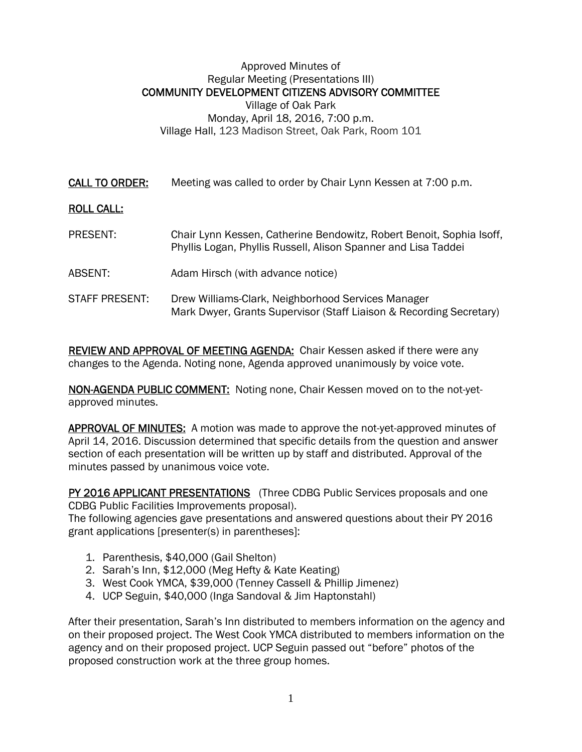#### Approved Minutes of Regular Meeting (Presentations III) COMMUNITY DEVELOPMENT CITIZENS ADVISORY COMMITTEE Village of Oak Park Monday, April 18, 2016, 7:00 p.m. Village Hall, 123 Madison Street, Oak Park, Room 101

CALL TO ORDER: Meeting was called to order by Chair Lynn Kessen at 7:00 p.m.

### ROLL CALL:

- PRESENT: Chair Lynn Kessen, Catherine Bendowitz, Robert Benoit, Sophia Isoff, Phyllis Logan, Phyllis Russell, Alison Spanner and Lisa Taddei
- ABSENT: Adam Hirsch (with advance notice)
- STAFF PRESENT: Drew Williams-Clark, Neighborhood Services Manager Mark Dwyer, Grants Supervisor (Staff Liaison & Recording Secretary)

REVIEW AND APPROVAL OF MEETING AGENDA: Chair Kessen asked if there were any changes to the Agenda. Noting none, Agenda approved unanimously by voice vote.

NON-AGENDA PUBLIC COMMENT: Noting none, Chair Kessen moved on to the not-yetapproved minutes.

APPROVAL OF MINUTES: A motion was made to approve the not-yet-approved minutes of April 14, 2016. Discussion determined that specific details from the question and answer section of each presentation will be written up by staff and distributed. Approval of the minutes passed by unanimous voice vote.

PY 2016 APPLICANT PRESENTATIONS (Three CDBG Public Services proposals and one CDBG Public Facilities Improvements proposal).

The following agencies gave presentations and answered questions about their PY 2016 grant applications [presenter(s) in parentheses]:

- 1. Parenthesis, \$40,000 (Gail Shelton)
- 2. Sarah's Inn, \$12,000 (Meg Hefty & Kate Keating)
- 3. West Cook YMCA, \$39,000 (Tenney Cassell & Phillip Jimenez)
- 4. UCP Seguin, \$40,000 (Inga Sandoval & Jim Haptonstahl)

After their presentation, Sarah's Inn distributed to members information on the agency and on their proposed project. The West Cook YMCA distributed to members information on the agency and on their proposed project. UCP Seguin passed out "before" photos of the proposed construction work at the three group homes.